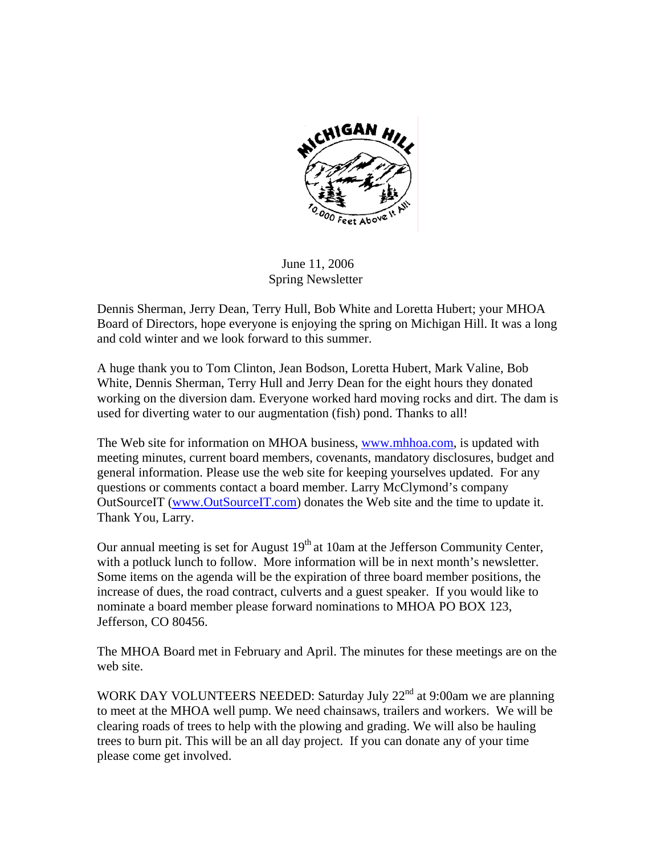

 June 11, 2006 Spring Newsletter

Dennis Sherman, Jerry Dean, Terry Hull, Bob White and Loretta Hubert; your MHOA Board of Directors, hope everyone is enjoying the spring on Michigan Hill. It was a long and cold winter and we look forward to this summer.

A huge thank you to Tom Clinton, Jean Bodson, Loretta Hubert, Mark Valine, Bob White, Dennis Sherman, Terry Hull and Jerry Dean for the eight hours they donated working on the diversion dam. Everyone worked hard moving rocks and dirt. The dam is used for diverting water to our augmentation (fish) pond. Thanks to all!

The Web site for information on MHOA business, [www.mhhoa.com](http://www.mhhoa.com/), is updated with meeting minutes, current board members, covenants, mandatory disclosures, budget and general information. Please use the web site for keeping yourselves updated. For any questions or comments contact a board member. Larry McClymond's company OutSourceIT ([www.OutSourceIT.com\)](http://www.outsourceit.com/) donates the Web site and the time to update it. Thank You, Larry.

Our annual meeting is set for August  $19<sup>th</sup>$  at 10am at the Jefferson Community Center, with a potluck lunch to follow. More information will be in next month's newsletter. Some items on the agenda will be the expiration of three board member positions, the increase of dues, the road contract, culverts and a guest speaker. If you would like to nominate a board member please forward nominations to MHOA PO BOX 123, Jefferson, CO 80456.

The MHOA Board met in February and April. The minutes for these meetings are on the web site.

WORK DAY VOLUNTEERS NEEDED: Saturday July 22<sup>nd</sup> at 9:00am we are planning to meet at the MHOA well pump. We need chainsaws, trailers and workers. We will be clearing roads of trees to help with the plowing and grading. We will also be hauling trees to burn pit. This will be an all day project. If you can donate any of your time please come get involved.